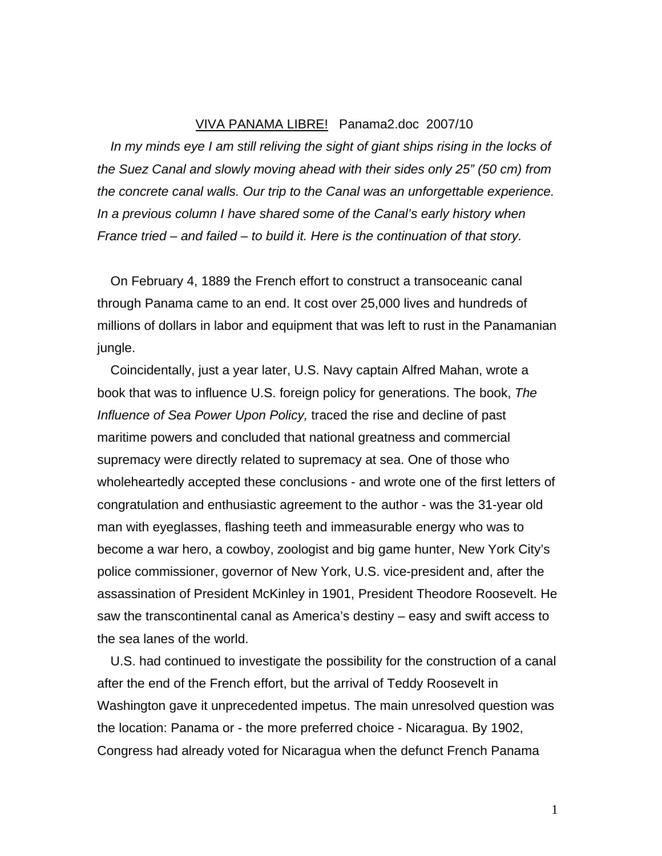## VIVA PANAMA LIBRE! Panama2.doc 2007/10

*In my minds eye I am still reliving the sight of giant ships rising in the locks of the Suez Canal and slowly moving ahead with their sides only 25" (50 cm) from the concrete canal walls. Our trip to the Canal was an unforgettable experience. In a previous column I have shared some of the Canal's early history when France tried – and failed – to build it. Here is the continuation of that story.* 

On February 4, 1889 the French effort to construct a transoceanic canal through Panama came to an end. It cost over 25,000 lives and hundreds of millions of dollars in labor and equipment that was left to rust in the Panamanian jungle.

Coincidentally, just a year later, U.S. Navy captain Alfred Mahan, wrote a book that was to influence U.S. foreign policy for generations. The book, *The Influence of Sea Power Upon Policy,* traced the rise and decline of past maritime powers and concluded that national greatness and commercial supremacy were directly related to supremacy at sea. One of those who wholeheartedly accepted these conclusions - and wrote one of the first letters of congratulation and enthusiastic agreement to the author - was the 31-year old man with eyeglasses, flashing teeth and immeasurable energy who was to become a war hero, a cowboy, zoologist and big game hunter, New York City's police commissioner, governor of New York, U.S. vice-president and, after the assassination of President McKinley in 1901, President Theodore Roosevelt. He saw the transcontinental canal as America's destiny – easy and swift access to the sea lanes of the world.

U.S. had continued to investigate the possibility for the construction of a canal after the end of the French effort, but the arrival of Teddy Roosevelt in Washington gave it unprecedented impetus. The main unresolved question was the location: Panama or - the more preferred choice - Nicaragua. By 1902, Congress had already voted for Nicaragua when the defunct French Panama

1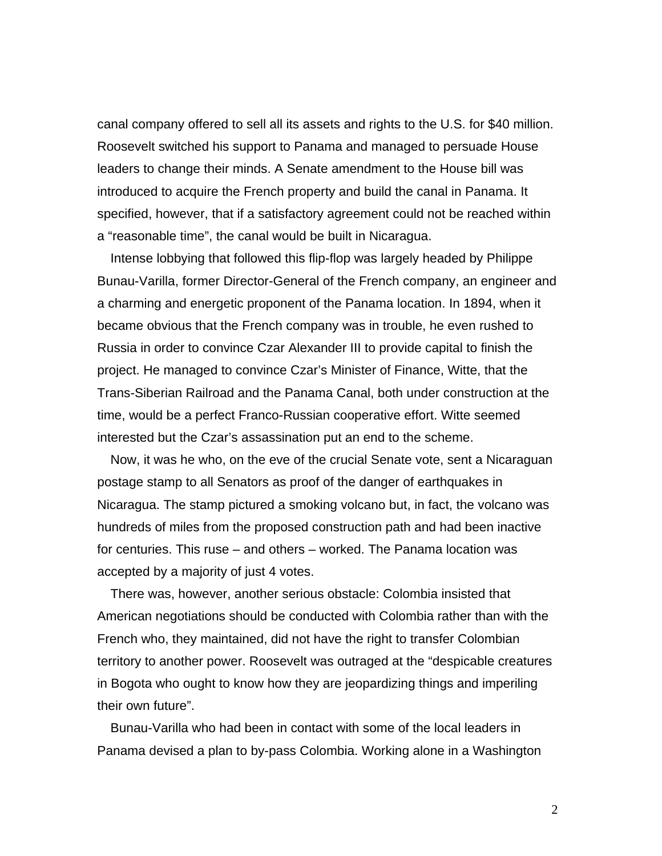canal company offered to sell all its assets and rights to the U.S. for \$40 million. Roosevelt switched his support to Panama and managed to persuade House leaders to change their minds. A Senate amendment to the House bill was introduced to acquire the French property and build the canal in Panama. It specified, however, that if a satisfactory agreement could not be reached within a "reasonable time", the canal would be built in Nicaragua.

Intense lobbying that followed this flip-flop was largely headed by Philippe Bunau-Varilla, former Director-General of the French company, an engineer and a charming and energetic proponent of the Panama location. In 1894, when it became obvious that the French company was in trouble, he even rushed to Russia in order to convince Czar Alexander III to provide capital to finish the project. He managed to convince Czar's Minister of Finance, Witte, that the Trans-Siberian Railroad and the Panama Canal, both under construction at the time, would be a perfect Franco-Russian cooperative effort. Witte seemed interested but the Czar's assassination put an end to the scheme.

Now, it was he who, on the eve of the crucial Senate vote, sent a Nicaraguan postage stamp to all Senators as proof of the danger of earthquakes in Nicaragua. The stamp pictured a smoking volcano but, in fact, the volcano was hundreds of miles from the proposed construction path and had been inactive for centuries. This ruse – and others – worked. The Panama location was accepted by a majority of just 4 votes.

There was, however, another serious obstacle: Colombia insisted that American negotiations should be conducted with Colombia rather than with the French who, they maintained, did not have the right to transfer Colombian territory to another power. Roosevelt was outraged at the "despicable creatures in Bogota who ought to know how they are jeopardizing things and imperiling their own future".

Bunau-Varilla who had been in contact with some of the local leaders in Panama devised a plan to by-pass Colombia. Working alone in a Washington